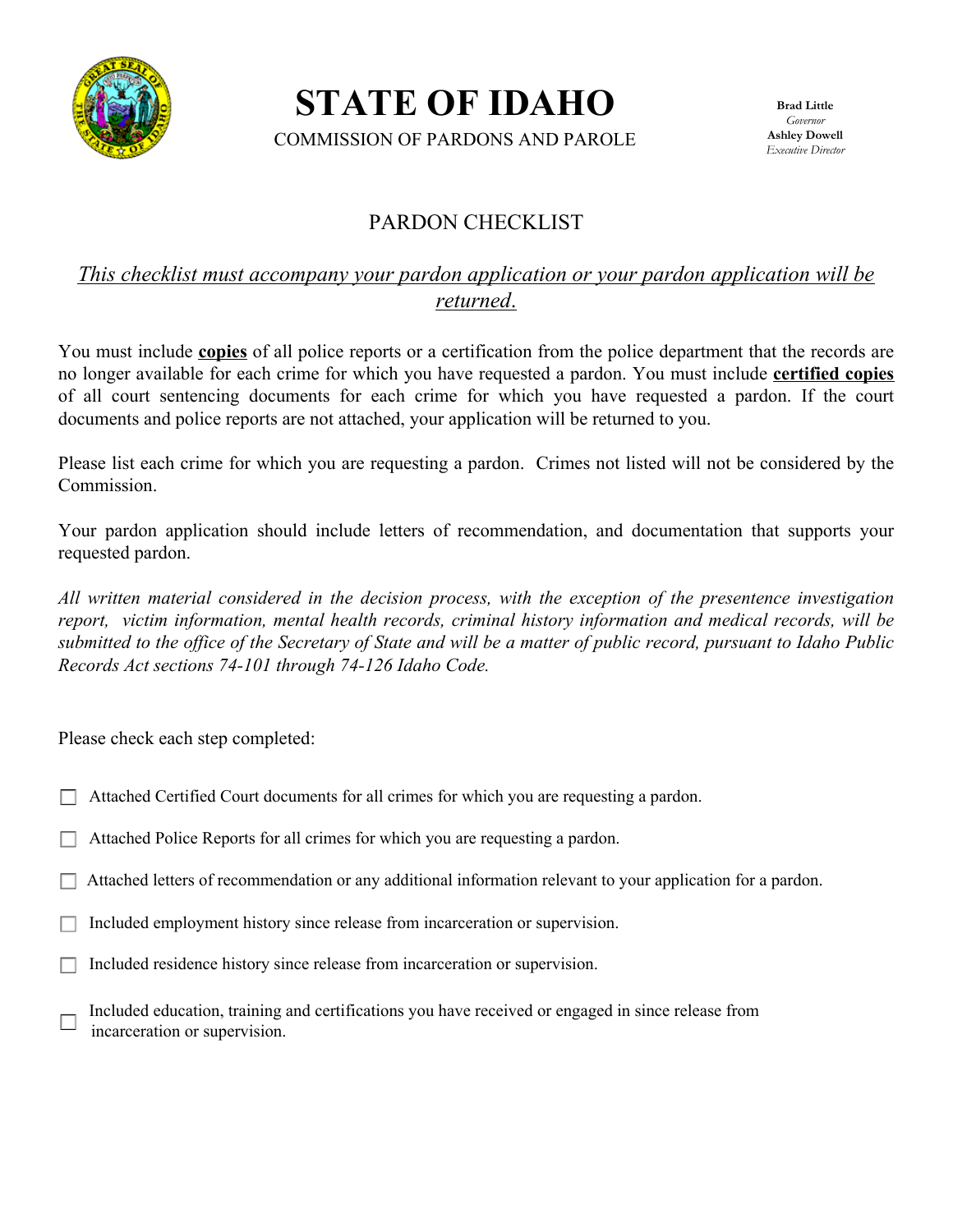

**STATE OF IDAHO** 

COMMISSION OF PARDONS AND PAROLE

## PARDON CHECKLIST

### *This checklist must accompany your pardon application or your pardon application will be returned*.

You must include **copies** of all police reports or a certification from the police department that the records are no longer available for each crime for which you have requested a pardon. You must include **certified copies** of all court sentencing documents for each crime for which you have requested a pardon. If the court documents and police reports are not attached, your application will be returned to you.

Please list each crime for which you are requesting a pardon. Crimes not listed will not be considered by the Commission.

Your pardon application should include letters of recommendation, and documentation that supports your requested pardon.

*All written material considered in the decision process, with the exception of the presentence investigation report, victim information, mental health records, criminal history information and medical records, will be submitted to the office of the Secretary of State and will be a matter of public record, pursuant to Idaho Public Records Act sections 74-101 through 74-126 Idaho Code.*

Please check each step completed:

- Attached Certified Court documents for all crimes for which you are requesting a pardon.
- Attached Police Reports for all crimes for which you are requesting a pardon.
- Attached letters of recommendation or any additional information relevant to your application for a pardon.
- Included employment history since release from incarceration or supervision.
- Included residence history since release from incarceration or supervision.

 Included education, training and certifications you have received or engaged in since release from incarceration or supervision.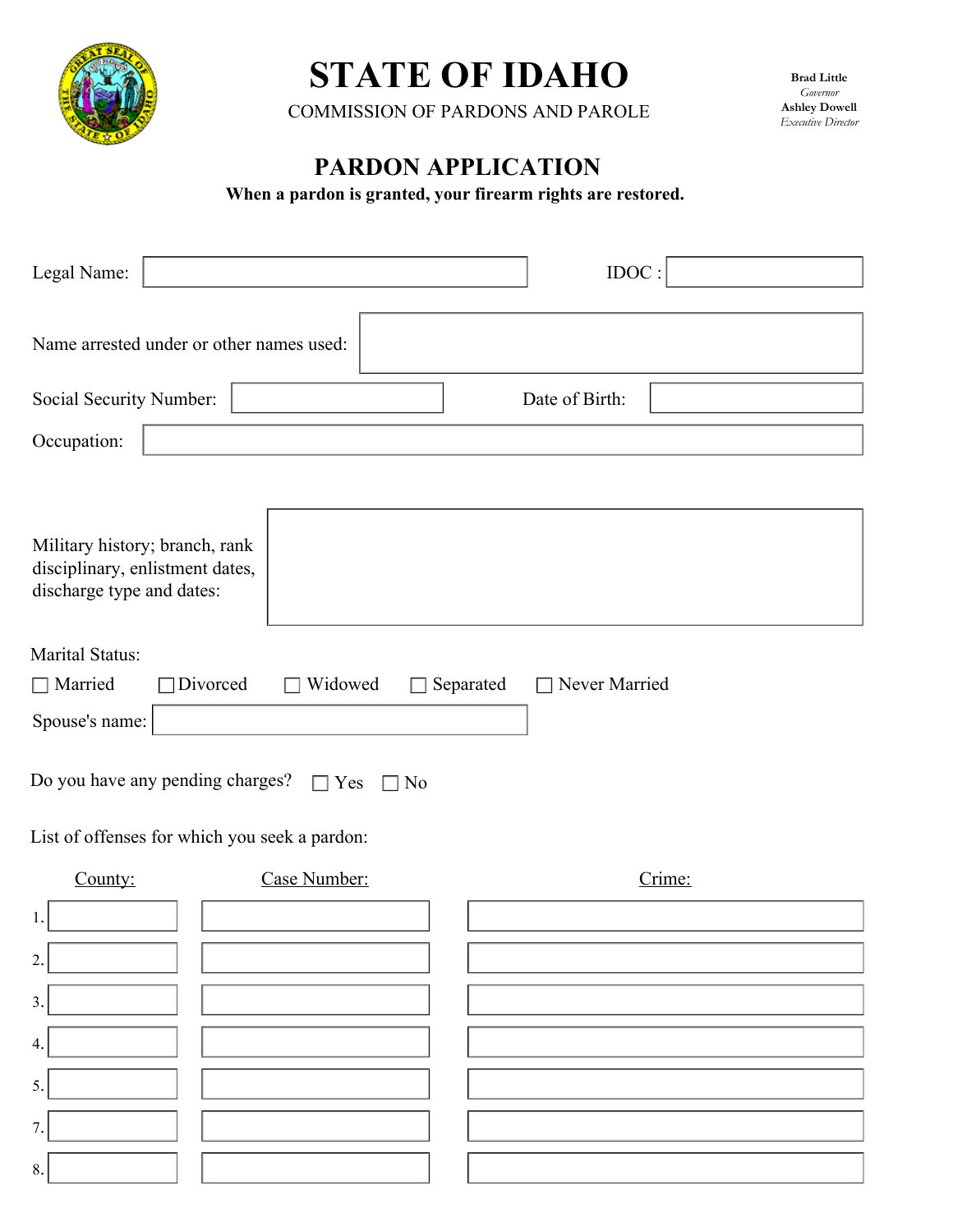

# **STATE OF IDAHO**

COMMISSION OF PARDONS AND PAROLE

**Brad Little**  *Governor*  **Ashley Dowell**  *Executive Director* 

# **PARDON APPLICATION**

**When a pardon is granted, your firearm rights are restored.** 

| Legal Name:                                                                                    |                      | IDOC:         |  |  |
|------------------------------------------------------------------------------------------------|----------------------|---------------|--|--|
| Name arrested under or other names used:                                                       |                      |               |  |  |
| Date of Birth:<br>Social Security Number:                                                      |                      |               |  |  |
| Occupation:                                                                                    |                      |               |  |  |
| Military history; branch, rank<br>disciplinary, enlistment dates,<br>discharge type and dates: |                      |               |  |  |
| <b>Marital Status:</b>                                                                         |                      |               |  |  |
| $\Box$ Married<br>Divorced<br>$\mathbf{L}$                                                     | Widowed<br>Separated | Never Married |  |  |
| Spouse's name:                                                                                 |                      |               |  |  |
| Do you have any pending charges?<br>$\Box$ Yes<br>No                                           |                      |               |  |  |
| List of offenses for which you seek a pardon:                                                  |                      |               |  |  |
| County:                                                                                        | Case Number:         | Crime:        |  |  |
| 1.                                                                                             |                      |               |  |  |
| 2                                                                                              |                      |               |  |  |
| 3.                                                                                             |                      |               |  |  |
| 4.                                                                                             |                      |               |  |  |
| 5.                                                                                             |                      |               |  |  |
| 7.                                                                                             |                      |               |  |  |
| 8.                                                                                             |                      |               |  |  |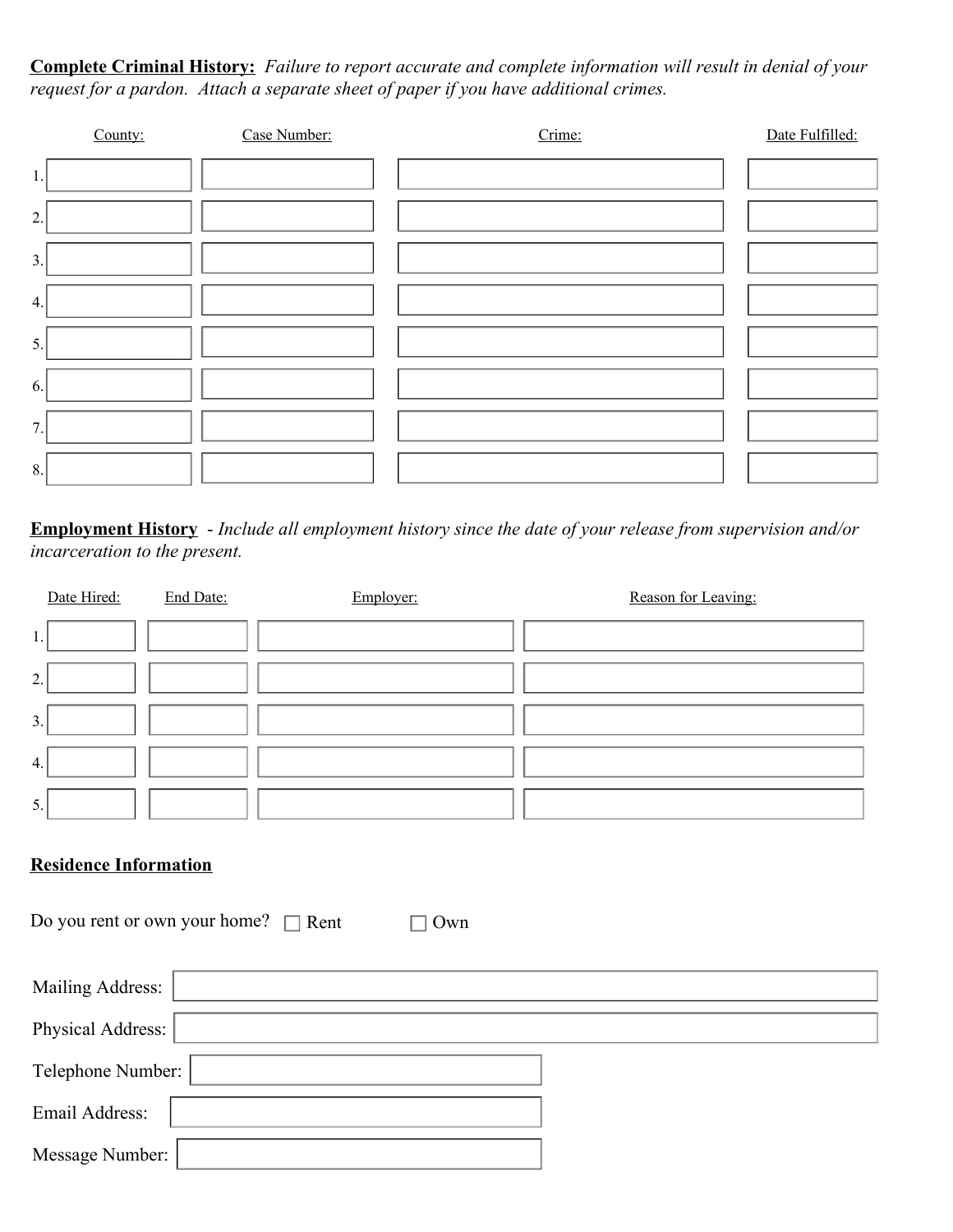**Complete Criminal History:** *Failure to report accurate and complete information will result in denial of your request for a pardon. Attach a separate sheet of paper if you have additional crimes.* 

|      | County: | Case Number: | Crime: | Date Fulfilled: |
|------|---------|--------------|--------|-----------------|
| $1.$ |         |              |        |                 |
| 2.   |         |              |        |                 |
| 3.   |         |              |        |                 |
| 4.   |         |              |        |                 |
| 5.   |         |              |        |                 |
| 6.   |         |              |        |                 |
| 7.   |         |              |        |                 |
| 8.   |         |              |        |                 |

**Employment History** - *Include all employment history since the date of your release from supervision and/or incarceration to the present.* 

| Date Hired: | End Date: | Employer: | Reason for Leaving: |
|-------------|-----------|-----------|---------------------|
| 1.          |           |           |                     |
| 2.          |           |           |                     |
| 3.          |           |           |                     |
| 4.          |           |           |                     |
| 5.          |           |           |                     |
|             |           |           |                     |

### **Residence Information**

Mailing Address: Message Number: Telephone Number: Physical Address: Email Address: Do you rent or own your home?  $\Box$  Rent  $\Box$  Own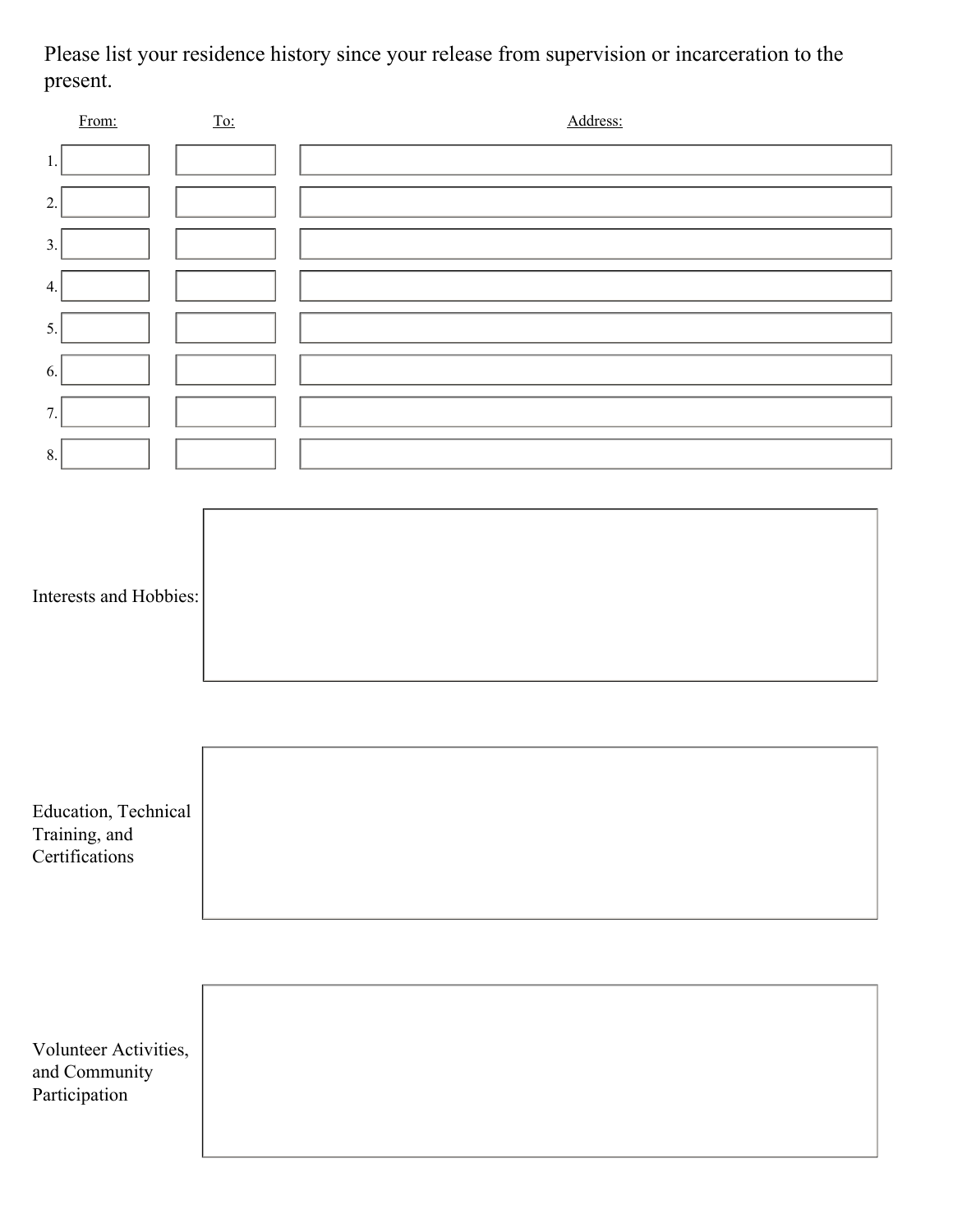Please list your residence history since your release from supervision or incarceration to the present.

| From:                                                   | $\underline{\operatorname{To:}}$ | Address: |
|---------------------------------------------------------|----------------------------------|----------|
| 1.                                                      |                                  |          |
| 2.                                                      |                                  |          |
| 3.                                                      |                                  |          |
| 4.                                                      |                                  |          |
| 5.                                                      |                                  |          |
| 6.                                                      |                                  |          |
| 7.                                                      |                                  |          |
| 8.                                                      |                                  |          |
|                                                         |                                  |          |
| Interests and Hobbies:                                  |                                  |          |
| Education, Technical<br>Training, and<br>Certifications |                                  |          |
| Volunteer Activities,<br>and Community<br>Participation |                                  |          |